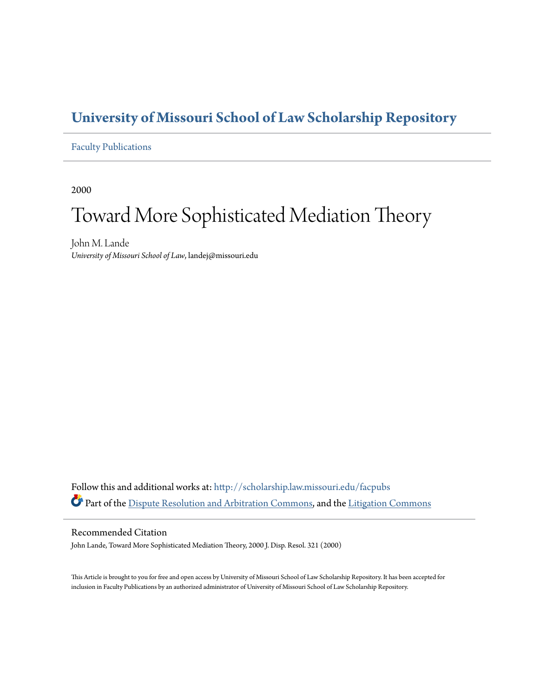### **[University of Missouri School of Law Scholarship Repository](http://scholarship.law.missouri.edu?utm_source=scholarship.law.missouri.edu%2Ffacpubs%2F272&utm_medium=PDF&utm_campaign=PDFCoverPages)**

#### [Faculty Publications](http://scholarship.law.missouri.edu/facpubs?utm_source=scholarship.law.missouri.edu%2Ffacpubs%2F272&utm_medium=PDF&utm_campaign=PDFCoverPages)

2000

# Toward More Sophisticated Mediation Theory

John M. Lande *University of Missouri School of Law*, landej@missouri.edu

Follow this and additional works at: [http://scholarship.law.missouri.edu/facpubs](http://scholarship.law.missouri.edu/facpubs?utm_source=scholarship.law.missouri.edu%2Ffacpubs%2F272&utm_medium=PDF&utm_campaign=PDFCoverPages) Part of the [Dispute Resolution and Arbitration Commons](http://network.bepress.com/hgg/discipline/890?utm_source=scholarship.law.missouri.edu%2Ffacpubs%2F272&utm_medium=PDF&utm_campaign=PDFCoverPages), and the [Litigation Commons](http://network.bepress.com/hgg/discipline/910?utm_source=scholarship.law.missouri.edu%2Ffacpubs%2F272&utm_medium=PDF&utm_campaign=PDFCoverPages)

#### Recommended Citation

John Lande, Toward More Sophisticated Mediation Theory, 2000 J. Disp. Resol. 321 (2000)

This Article is brought to you for free and open access by University of Missouri School of Law Scholarship Repository. It has been accepted for inclusion in Faculty Publications by an authorized administrator of University of Missouri School of Law Scholarship Repository.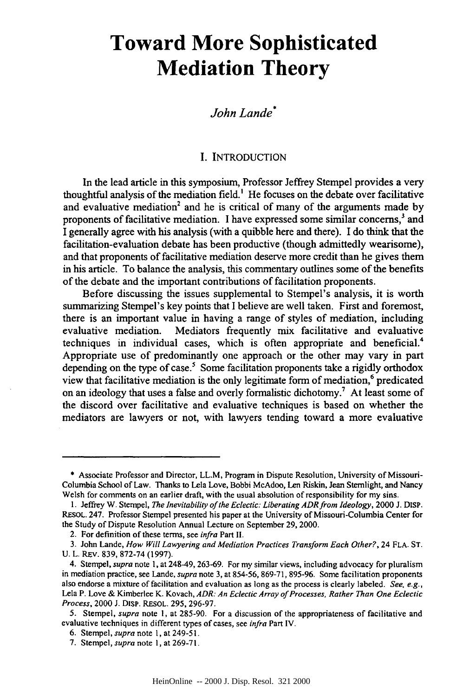## **Toward More Sophisticated Mediation Theory**

#### *John Lande\**

#### I. INTRODUCTION

In the lead article in this symposium, Professor Jeffrey Stempel provides a very thoughtful analysis of the mediation field.' He focuses on the debate over facilitative and evaluative mediation<sup>2</sup> and he is critical of many of the arguments made by proponents of facilitative mediation. I have expressed some similar concerns,' and I generally agree with his analysis (with a quibble here and there). I do think that the facilitation-evaluation debate has been productive (though admittedly wearisome), and that proponents of facilitative mediation deserve more credit than he gives them in his article. To balance the analysis, this commentary outlines some of the benefits of the debate and the important contributions of facilitation proponents.

Before discussing the issues supplemental to Stempel's analysis, it is worth summarizing Stempel's key points that I believe are well taken. First and foremost, there is an important value in having a range of styles of mediation, including evaluative mediation. Mediators frequently mix facilitative and evaluative techniques in individual cases, which is often appropriate and beneficial.<sup>4</sup> Appropriate use of predominantly one approach or the other may vary in part depending on the type of case.<sup>5</sup> Some facilitation proponents take a rigidly orthodox view that facilitative mediation is the only legitimate form of mediation, $6$  predicated on an ideology that uses a false and overly formalistic dichotomy.' At least some of the discord over facilitative and evaluative techniques is based on whether the mediators are lawyers or not, with lawyers tending toward a more evaluative

<sup>\*</sup> Associate Professor and Director, LL.M, Program in Dispute Resolution, University of Missouri-Columbia School of Law. Thanks to Lela Love, Bobbi McAdoo, Len Riskin, Jean Stemlight, and Nancy Welsh for comments on an earlier draft, with the usual absolution of responsibility for my sins.

<sup>1.</sup> Jeffrey W. Stempel, *The Inevitability of the Eclectic: Liberating ADRfrom Ideology,* 2000 J. DISP. RESOL. 247. Professor Stempel presented his paper at the University of Missouri-Columbia Center for the Study of Dispute Resolution Annual Lecture on September 29, 2000.

<sup>2.</sup> For definition of these terms, see *infra* Part II.

<sup>3.</sup> John Lande, *How Will Lawyering and Mediation Practices Transform Each Other?,* 24 FLA. ST. U. L. REV. 839, 872-74 (1997).

<sup>4.</sup> Stempel, *supra* note 1, at 248-49, 263-69. For my similar views, including advocacy for pluralism in mediation practice, see Lande, *supra* note 3, at 854-56, 869-71, 895-96. Some facilitation proponents also endorse a mixture of facilitation and evaluation as long as the process is clearly labeled. *See. e.g.,* Lela P. Love & Kimberlee K. Kovach, *ADR: An Eclectic Array of Processes, Rather Than One Eclectic Process,* 2000 J. DiSP. RESOL. 295, 296-97.

<sup>5.</sup> Stempel, *supra* note **1,** at 285-90. For a discussion of the appropriateness of facilitative and evaluative techniques in different types of cases, see *infra* Part IV.

<sup>6.</sup> Stempel, *supra* note **1,** at 249-51.

<sup>7.</sup> Stempel, *supra* note I, at 269-71.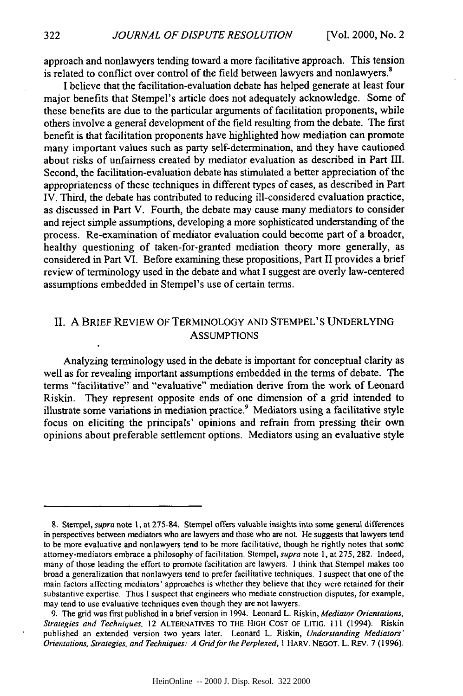approach and nonlawyers tending toward a more facilitative approach. This tension is related to conflict over control of the field between lawyers and nonlawyers.'

I believe that the facilitation-evaluation debate has helped generate at least four major benefits that Stempel's article does not adequately acknowledge. Some of these benefits are due to the particular arguments of facilitation proponents, while others involve a general development of the field resulting from the debate. The first benefit is that facilitation proponents have highlighted how mediation can promote many important values such as party self-determination, and they have cautioned about risks of unfairness created by mediator evaluation as described in Part III. Second, the facilitation-evaluation debate has stimulated a better appreciation of the appropriateness of these techniques in different types of cases, as described in Part IV. Third, the debate has contributed to reducing ill-considered evaluation practice, as discussed in Part V. Fourth, the debate may cause many mediators to consider and reject simple assumptions, developing a more sophisticated understanding of the process. Re-examination of mediator evaluation could become part of a broader, healthy questioning of taken-for-granted mediation theory more generally, as considered in Part VI. Before examining these propositions, Part II provides a brief review of terminology used in the debate and what I suggest are overly law-centered assumptions embedded in Stempel's use of certain terms.

#### II. A BRIEF REVIEW OF TERMINOLOGY AND STEMPEL'S UNDERLYING **ASSUMPTIONS**

Analyzing terminology used in the debate is important for conceptual clarity as well as for revealing important assumptions embedded in the terms of debate. The terms "facilitative" and "evaluative" mediation derive from the work of Leonard Riskin. They represent opposite ends of one dimension of a grid intended to illustrate some variations in mediation practice.<sup>9</sup> Mediators using a facilitative style focus on eliciting the principals' opinions and refrain from pressing their own opinions about preferable settlement options. Mediators using an evaluative style

322

<sup>8.</sup> Stempel, *supra* note 1, at 275-84. Stempel offers valuable insights into some general differences in perspectives between mediators who are lawyers and those who are not. He suggests that lawyers tend to be more evaluative and nonlawyers tend to be more facilitative, though he rightly notes that some attorney-mediators embrace a philosophy of facilitation. Stempel, *supra* note **1,** at 275, 282. Indeed, many of those leading the effort to promote facilitation are lawyers. I think that Stempel makes too broad a generalization that nonlawyers tend to prefer facilitative techniques. I suspect that one of the main factors affecting mediators' approaches is whether they believe that they were retained for their substantive expertise. Thus I suspect that engineers who mediate construction disputes, for example, may tend to use evaluative techniques even though they are not lawyers.

**<sup>9.</sup>** The grid was first published in a brief version in 1994. Leonard L. Riskin, *Mediator Orientations, Strategies and Techniques,* 12 ALTERNATIVES TO THE HIGH COST OF LITIG. **11I** (1994). Riskin published an extended version two years later. Leonard L. Riskin, *Understanding Mediators' Orientations, Strategies, and Techniques: A Grid for the Perplexed, I* HARV. NEGOT. L. REV. 7 (1996).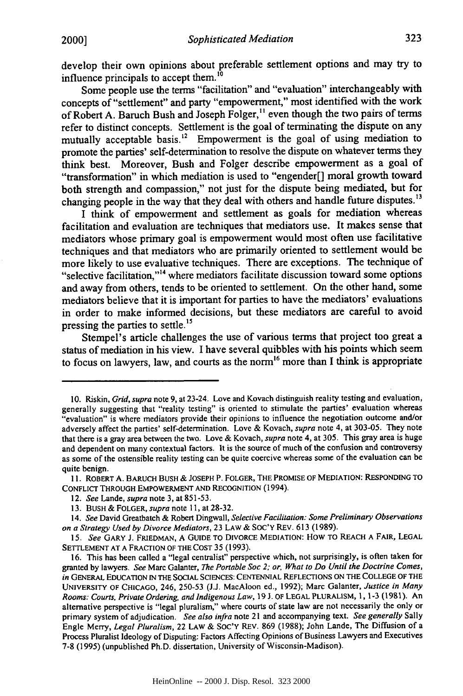develop their own opinions about preferable settlement options and may try to influence principals to accept them.'0

Some people use the terms "facilitation" and "evaluation" interchangeably with concepts of "settlement" and party "empowerment," most identified with the work of Robert A. Baruch Bush and Joseph Folger,<sup>11</sup> even though the two pairs of terms refer to distinct concepts. Settlement is the goal of terminating the dispute on any mutually acceptable basis.<sup>12</sup> Empowerment is the goal of using mediation to promote the parties' self-determination to resolve the dispute on whatever terms they think best. Moreover, Bush and Folger describe empowerment as a goal of "transformation" in which mediation is used to "engender[] moral growth toward both strength and compassion," not just for the dispute being mediated, but for changing people in the way that they deal with others and handle future disputes.<sup>13</sup>

I think of empowerment and settlement as goals for mediation whereas facilitation and evaluation are techniques that mediators use. It makes sense that mediators whose primary goal is empowerment would most often use facilitative techniques and that mediators who are primarily oriented to settlement would be more likely to use evaluative techniques. There are exceptions. The technique of "selective facilitation,"<sup>14</sup> where mediators facilitate discussion toward some options and away from others, tends to be oriented to settlement. On the other hand, some mediators believe that it is important for parties to have the mediators' evaluations in order to make informed decisions, but these mediators are careful to avoid pressing the parties to settle.<sup>15</sup>

Stempel's article challenges the use of various terms that project too great a status of mediation in his view. **I** have several quibbles with his points which seem to focus on lawyers, law, and courts as the norm<sup>16</sup> more than I think is appropriate

**<sup>10.</sup>** Riskin, *Grid, supra* note **9,** at 23-24. Love and Kovach distinguish reality testing and evaluation, generally suggesting that "reality testing" is oriented to stimulate the parties' evaluation whereas "evaluation" is where mediators provide their opinions to influence the negotiation outcome and/or adversely affect the parties' self-determination. Love **&** Kovach, *supra* note 4, at **303-05.** They note that there is a gray area between the two. Love **&** Kovach, *supra* note 4, at **305.** This gray area is huge and dependent on many contextual factors. It is the source of much of the confusion and controversy as some of the ostensible reality testing can be quite coercive whereas some of the evaluation can be quite benign.

**II.** ROBERT **A.** BARUCH BUSH **& JOSEPH** P. FOLGER, THE PROMISE OF MEDIATION: RESPONDING TO **CONFLICT** THROUGH EMPOWERMENT **AND RECOGNITION** (1994).

<sup>12.</sup> *See* Lande, *supra* note **3,** at **851-53.**

**<sup>13.</sup>** BUSH **&** FOLGER, *supra* note **11,** at **28-32.**

*<sup>14.</sup> See* David Greatbatch **&** Robert Dingwall, *Selective Facilitation: Some Preliminary Observations on a Strategy Used by Divorce Mediators,* **23 LAW &** SOC'Y REV. **613 (1989).**

*<sup>15.</sup> See* GARY **J. FRIEDMAN, A GUIDE** TO DIVORCE MEDIATION: HOW TO REACH **A** FAIR, **LEGAL** SETTLEMENT **AT A FRACTION** OF THE **COST 35 (1993).**

**<sup>16.</sup>** This has been called a "legal centralist" perspective which, not surprisingly, is often taken for granted **by** lawyers. *See* Marc Galanter, *The Portable Soc 2; or, What to Do Until* **the** *Doctrine Comes, in* **GENERAL EDUCATION IN** THE **SOCIAL SCIENCES: CENTENNIAL REFLECTIONS ON** THE **COLLEGE** OF THE **UNIVERSITY** OF CHICAGO, 246, **250-53 (J.J.** MacAloon ed., **1992);** Marc Galanter, *Justice in Many Rooms: Courts, Private Ordering, and Indigenous Law,* **19 J.** OF **LEGAL** PLURALISM, **1, 1-3 (1981).** An alternative perspective is "legal pluralism," where courts of state law are not necessarily the only or primary system of adjudication. *See also infra* note 21 and accompanying text. *See generally* Sally Engle Merry, *Legal Pluralism,* 22 LAW **&** SoC'Y REV. **869 (1988);** John Lande, The Diffusion of a Process Pluralist Ideology of Disputing: Factors Affecting Opinions of Business Lawyers and Executives **7-8 (1995)** (unpublished Ph.D. dissertation, University of Wisconsin-Madison).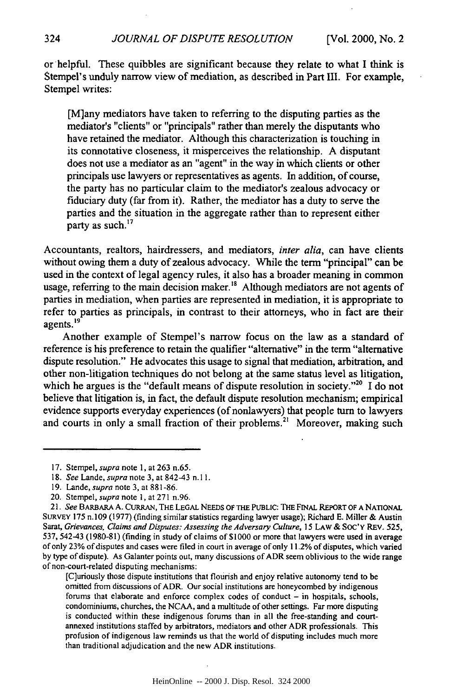or helpful. These quibbles are significant because they relate to what I think is Stempel's unduly narrow view of mediation, as described in Part III. For example, Stempel writes:

[M]any mediators have taken to referring to the disputing parties as the mediator's "clients" or "principals" rather than merely the disputants who have retained the mediator. Although this characterization is touching in its connotative closeness, it misperceives the relationship. A disputant does not use a mediator as an "agent" in the way in which clients or other principals use lawyers or representatives as agents. In addition, of course, the party has no particular claim to the mediator's zealous advocacy or fiduciary duty (far from it). Rather, the mediator has a duty to serve the parties and the situation in the aggregate rather than to represent either party as such.<sup>17</sup>

Accountants, realtors, hairdressers, and mediators, *inter alia,* can have clients without owing them a duty of zealous advocacy. While the term "principal" can be used in the context of legal agency rules, it also has a broader meaning in common usage, referring to the main decision maker.<sup>18</sup> Although mediators are not agents of parties in mediation, when parties are represented in mediation, it is appropriate to refer to parties as principals, in contrast to their attorneys, who in fact are their agents.<sup>19</sup>

Another example of Stempel's narrow focus on the law as a standard of reference is his preference to retain the qualifier "alternative" in the term "alternative dispute resolution." He advocates this usage to signal that mediation, arbitration, and other non-litigation techniques do not belong at the same status level as litigation, which he argues is the "default means of dispute resolution in society."<sup>20</sup> I do not believe that litigation is, in fact, the default dispute resolution mechanism; empirical evidence supports everyday experiences (of nonlawyers) that people turn to lawyers and courts in only a small fraction of their problems.<sup>21</sup> Moreover, making such

[C]uriously those dispute institutions that flourish and enjoy relative autonomy tend to be omitted from discussions of ADR. Our social institutions are honeycombed by indigenous forums that elaborate and enforce complex codes of conduct  $-$  in hospitals, schools, condominiums, churches, the NCAA, and a multitude of other settings. Far more disputing is conducted within these indigenous forums than in all the free-standing and courtannexed institutions staffed by arbitrators, mediators and other ADR professionals. This profusion of indigenous law reminds us that the world of disputing includes much more than traditional adjudication and the new ADR institutions.

<sup>17.</sup> Stempel, supra note 1, at 263 n.65.

<sup>18.</sup> *See* Lande, *supra* note 3, at 842-43 n.l 1.

<sup>19.</sup> Lande, *supra* note 3, at 881-86.

<sup>20.</sup> Stempel, *supra* note **1,** at 271 n.96.

*<sup>21.</sup> See* BARBARA A. CURRAN, THE LEGAL NEEDS **OF** THE PUBLIC: THE FINAL REPORT **OF A** NATIONAL SuRvEy 175 n.109 (1977) (finding similar statistics regarding lawyer usage); Richard E. Miller & Austin Sarat, *Grievances, Claims and Disputes: Assessing the Adversary Culture, 15* LAW & **SOC'Y** REV. 525, 537, 542-43 (1980-81) (finding in study of claims of \$1000 or more that lawyers were used in average of only 23% of disputes and cases were filed in court in average of only 11.2% of disputes, which varied by type of dispute). As Galanter points out, many discussions of ADR seem oblivious to the wide range of non-court-related disputing mechanisms: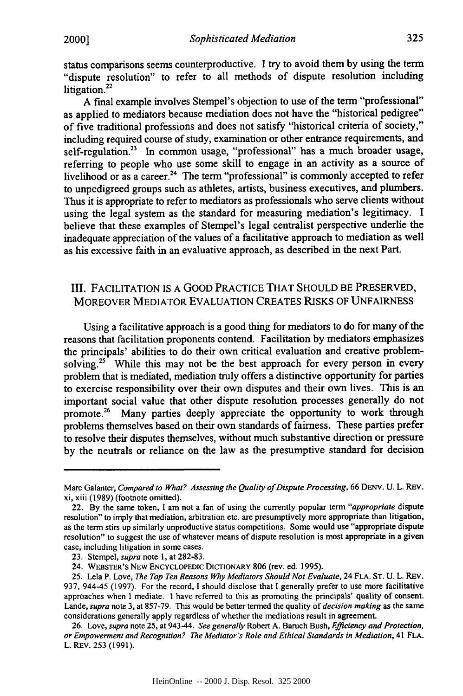status comparisons seems counterproductive. I try to avoid them by using the term "dispute resolution" to refer to all methods of dispute resolution including litigation.<sup>22</sup>

A final example involves Stempel's objection to use of the term "professional" as applied to mediators because mediation does not have the "historical pedigree" of five traditional professions and does not satisfy "historical criteria of society," including required course of study, examination or other entrance requirements, and self-regulation.<sup>23</sup> In common usage, "professional" has a much broader usage, referring to people who use some skill to engage in an activity as a source of livelihood or as a career.<sup>24</sup> The term "professional" is commonly accepted to refer to unpedigreed groups such as athletes, artists, business executives, and plumbers. Thus it is appropriate to refer to mediators as professionals who serve clients without using the legal system as the standard for measuring mediation's legitimacy. I believe that these examples of Stempel's legal centralist perspective underlie the inadequate appreciation of the values of a facilitative approach to mediation as well as his excessive faith in an evaluative approach, as described in the next Part.

#### III. FACILITATION IS A GOOD PRACTICE THAT SHOULD BE PRESERVED, MOREOVER MEDIATOR EVALUATION CREATES RISKS OF UNFAIRNESS

Using a facilitative approach is a good thing for mediators to do for many of the reasons that facilitation proponents contend. Facilitation by mediators emphasizes the principals' abilities to do their own critical evaluation and creative problemsolving.<sup>25</sup> While this may not be the best approach for every person in every problem that is mediated, mediation truly offers a distinctive opportunity for parties to exercise responsibility over their own disputes and their own lives. This is an important social value that other dispute resolution processes generally do not promote.<sup>26</sup> Many parties deeply appreciate the opportunity to work through problems themselves based on their own standards of fairness. These parties prefer to resolve their disputes themselves, without much substantive direction or pressure by the neutrals or reliance on the law as the presumptive standard for decision

Marc Galanter, Compared *to What? Assessing the Quality of Dispute Processing,* 66 DENV. U. L. REv. xi, xiii (1989) (footnote omitted).

<sup>22.</sup> By the same token, I am not a fan of using the currently popular term *"appropriate* dispute resolution" to imply that mediation, arbitration etc. are presumptively more appropriate than litigation, as the term stirs up similarly unproductive status competitions. Some would use "appropriate dispute resolution" to suggest the use of whatever means of dispute resolution is most appropriate in a given case, including litigation in some cases.

<sup>23.</sup> Stempel, *supra* note 1, at 282-83.

<sup>24.</sup> WEBSTER'S NEW ENCYCLOPEDIC DICTIONARY 806 (rev. ed. 1995).

<sup>25.</sup> Lela P. Love, *The Top Ten Reasons Why Mediators Should Not Evaluate,* 24 FLA. ST. U. L. REv. 937, 944-45 (1997). For the record, I should disclose that I generally prefer to use more facilitative approaches when I mediate. **I** have referred to this as promoting the principals' quality of consent. Lande, *supra* note 3, at 857-79. This would be better termed the quality of *decision making* as the same considerations generally apply regardless of whether the mediations result in agreement.

<sup>26.</sup> Love, *supra* note 25, at 943-44. *See generally* Robert A. Baruch Bush, *Efficiency and Protection, or Empowerment and Recognition? The Mediator's Role and Ethical Standards in Mediation,* 41 FLA. L. REv. 253 (1991).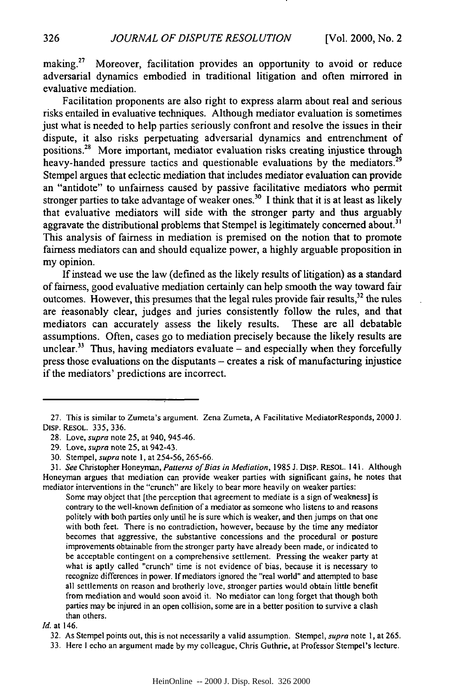making.<sup>27</sup> Moreover, facilitation provides an opportunity to avoid or reduce adversarial dynamics embodied in traditional litigation and often mirrored in evaluative mediation.

Facilitation proponents are also right to express alarm about real and serious risks entailed in evaluative techniques. Although mediator evaluation is sometimes just what is needed to help parties seriously confront and resolve the issues in their dispute, it also risks perpetuating adversarial dynamics and entrenchment of positions.28 More important, mediator evaluation risks creating injustice through heavy-handed pressure tactics and questionable evaluations by the mediators.<sup>29</sup> Stempel argues that eclectic mediation that includes mediator evaluation can provide an "antidote" to unfairness caused by passive facilitative mediators who permit stronger parties to take advantage of weaker ones.<sup>30</sup> I think that it is at least as likely that evaluative mediators will side with the stronger party and thus arguably aggravate the distributional problems that Stempel is legitimately concerned about.<sup>31</sup> This analysis of fairness in mediation is premised on the notion that to promote fairness mediators can and should equalize power, a highly arguable proposition in my opinion.

If instead we use the law (defined as the likely results of litigation) as a standard of fairness, good evaluative mediation certainly can help smooth the way toward fair outcomes. However, this presumes that the legal rules provide fair results,<sup>32</sup> the rules are reasonably clear, judges and juries consistently follow the rules, and that mediators can accurately assess the likely results. These are all debatable assumptions. Often, cases go to mediation precisely because the likely results are unclear.<sup>33</sup> Thus, having mediators evaluate – and especially when they forcefully press those evaluations on the disputants  $-$  creates a risk of manufacturing injustice if the mediators' predictions are incorrect.

Some may object that [the perception that agreement to mediate is a sign of weakness] is contrary to the well-known definition of a mediator as someone who listens to and reasons politely with both parties only until he is sure which is weaker, and then jumps on that one with both feet. There is no contradiction, however, because by the time any mediator becomes that aggressive, the substantive concessions and the procedural or posture improvements obtainable from the stronger party have already been made, or indicated to be acceptable contingent on a comprehensive settlement. Pressing the weaker party at what is aptly called "crunch" time is not evidence of bias, because it is necessary to recognize differences in power. If mediators ignored the "real world" and attempted to base all settlements on reason and brotherly love, stronger parties would obtain little benefit from mediation and would soon avoid it. No mediator can long forget that though both parties may be injured in an open collision, some are in a better position to survive a clash than others.

*Id.* at 146.

<sup>27.</sup> This is similar to Zumeta's argument. Zena Zumeta, A Facilitative MediatorResponds, 2000 J. DisP. REsOL. 335, 336.

<sup>28.</sup> Love, supra note 25, at 940, 945-46.

<sup>29.</sup> Love, supra note 25, at 942-43.

<sup>30.</sup> Stempel, supra note I, at 254-56, 265-66.

*<sup>31.</sup>* See Christopher Honeyman, *Patterns of Bias in Mediation,* 1985 J. DiSP. RESOL. 141. Although Honeyman argues that mediation can provide weaker parties with significant gains, he notes that mediator interventions in the "crunch" are likely to bear more heavily on weaker parties:

<sup>32.</sup> As Stempel points out, this is not necessarily a valid assumption. Stempel, supra note **1,** at 265.

<sup>33.</sup> Here I echo an argument made by my colleague, Chris Guthrie, at Professor Stempel's lecture.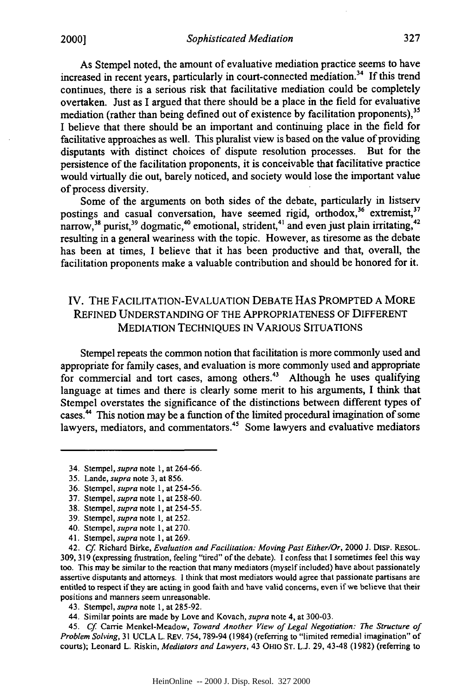As Stempel noted, the amount of evaluative mediation practice seems to have increased in recent years, particularly in court-connected mediation.34 If this trend continues, there is a serious risk that facilitative mediation could be completely overtaken. Just as I argued that there should be a place in the field for evaluative mediation (rather than being defined out of existence by facilitation proponents),<sup>35</sup> I believe that there should be an important and continuing place in the field for facilitative approaches as well. This pluralist view is based on the value of providing disputants with distinct choices of dispute resolution processes. But for the persistence of the facilitation proponents, it is conceivable that facilitative practice would virtually die out, barely noticed, and society would lose the important value of process diversity.

Some of the arguments on both sides of the debate, particularly in listserv postings and casual conversation, have seemed rigid, orthodox,<sup>36</sup> extremist,<sup>37</sup> narrow,<sup>38</sup> purist,<sup>39</sup> dogmatic,<sup>40</sup> emotional, strident,<sup>41</sup> and even just plain irritating,<sup>42</sup> resulting in a general weariness with the topic. However, as tiresome as the debate has been at times, I believe that it has been productive and that, overall, the facilitation proponents make a valuable contribution and should be honored for it.

#### IV. THE FACILITATION-EVALUATION DEBATE HAS PROMPTED A MORE REFINED UNDERSTANDING OF THE APPROPRIATENESS OF DIFFERENT MEDIATION TECHNIQUES IN VARIOUS SITUATIONS

Stempel repeats the common notion that facilitation is more commonly used and appropriate for family cases, and evaluation is more commonly used and appropriate for commercial and tort cases, among others.<sup>43</sup> Although he uses qualifying language at times and there is clearly some merit to his arguments, I think that Stempel overstates the significance of the distinctions between different types of cases.<sup>44</sup> This notion may be a function of the limited procedural imagination of some lawyers, mediators, and commentators.<sup>45</sup> Some lawyers and evaluative mediators

42. *Cf.* Richard Birke, *Evaluation and Facilitation: Moving Past Either/Or,* 2000 J. DISP. RESOL. 309, 319 (expressing frustration, feeling "tired" of the debate). I confess that I sometimes feel this way too. This may be similar to the reaction that many mediators (myself included) have about passionately assertive disputants and attorneys. I think that most mediators would agree that passionate partisans are entitled to respect if they are acting in good faith and have valid concerns, even if we believe that their positions and manners seem unreasonable.

43. Stempel, *supra* note 1, at 285-92.

44. Similar points are made by Love and Kovach, *supra* note 4, at 300-03.

45. *Cf.* Carrie Menkel-Meadow, *Toward Another View of Legal Negotiation: The Structure of Problem Solving, 31 UCLA L. REV. 754, 789-94 (1984) (referring to "limited remedial imagination" of* courts); Leonard L. Riskin, *Mediators and Lawyers,* 43 OHIO ST. L.J. 29, 43-48 (1982) (referring to

<sup>34.</sup> Stempel, *supra* note 1, at 264-66.

<sup>35.</sup> Lande, *supra* note 3, at 856.

<sup>36.</sup> Stempel, *supra* note 1, at 254-56.

<sup>37.</sup> Stempel, *supra* note 1, at 258-60.

<sup>38.</sup> Stempel, *supra* note **1,** at 254-55.

<sup>39.</sup> Stempel, *supra* note *1,* at 252.

<sup>40.</sup> Stempel, *supra* note **1,** at 270.

<sup>41.</sup> Stempel, *supra* note 1, at 269.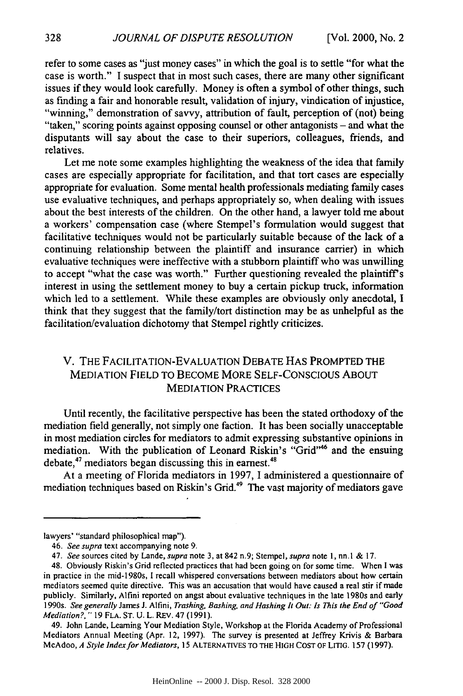refer to some cases as "just money cases" in which the goal is to settle "for what the case is worth." I suspect that in most such cases, there are many other significant issues if they would look carefully. Money is often a symbol of other things, such as finding a fair and honorable result, validation of injury, vindication of injustice, "winning," demonstration of savvy, attribution of fault, perception of (not) being "taken," scoring points against opposing counsel or other antagonists - and what the disputants will say about the case to their superiors, colleagues, friends, and relatives.

Let me note some examples highlighting the weakness of the idea that family cases are especially appropriate for facilitation, and that tort cases are especially appropriate for evaluation. Some mental health professionals mediating family cases use evaluative techniques, and perhaps appropriately so, when dealing with issues about the best interests of the children. On the other hand, a lawyer told me about a workers' compensation case (where Stempel's formulation would suggest that facilitative techniques would not be particularly suitable because of the lack of a continuing relationship between the plaintiff and insurance carrier) in which evaluative techniques were ineffective with a stubborn plaintiff who was unwilling to accept "what the case was worth." Further questioning revealed the plaintiff's interest in using the settlement money to buy a certain pickup truck, information which led to a settlement. While these examples are obviously only anecdotal, I think that they suggest that the family/tort distinction may be as unhelpful as the facilitation/evaluation dichotomy that Stempel rightly criticizes.

#### V. THE FACILITATION-EVALUATION DEBATE HAS PROMPTED THE MEDIATION FIELD TO BECOME MORE SELF-CONSCIOUS ABOUT MEDIATION PRACTICES

Until recently, the facilitative perspective has been the stated orthodoxy of the mediation field generally, not simply one faction. It has been socially unacceptable in most mediation circles for mediators to admit expressing substantive opinions in mediation. With the publication of Leonard Riskin's "Grid"46 and the ensuing debate, $47$  mediators began discussing this in earnest. $48$ 

At a meeting of Florida mediators in 1997, I administered a questionnaire of mediation techniques based on Riskin's Grid.49 The vast majority of mediators gave

lawyers' "standard philosophical map").

<sup>46.</sup> *See supra* text accompanying note 9.

<sup>47.</sup> *See* sources cited by Lande, *supra* note 3, at 842 n.9; Stempel, *supra* note 1, nn.l & 17.

<sup>48.</sup> Obviously Riskin's Grid reflected practices that had been going on for some time. When I was in practice in the mid-1980s, I recall whispered conversations between mediators about how certain mediators seemed quite directive. This was an accusation that would have caused a real stir if made publicly. Similarly, Alfini reported on angst about evaluative techniques in the late 1980s and early 1990s. *See generally* James J. Alfini, *Trashing, Bashing, and Hashing It Out: Is This the End of "Good Mediation?,"* 19 FLA. ST. U. L. REV. 47 (1991).

<sup>49.</sup> John Lande, Leaming Your Mediation Style, Workshop at the Florida Academy of Professional Mediators Annual Meeting (Apr. 12, 1997). The survey is presented at Jeffrey Krivis & Barbara McAdoo, *A Style Index* for Mediators, 15 ALTERNATIVES **TO THE HIGH COST** OF LITIG. 157 (1997).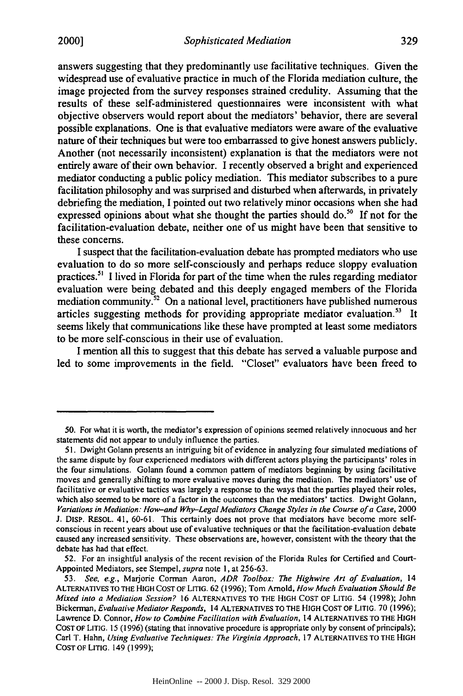answers suggesting that they predominantly use facilitative techniques. Given the widespread use of evaluative practice in much of the Florida mediation culture, the image projected from the survey responses strained credulity. Assuming that the results of these self-administered questionnaires were inconsistent with what objective observers would report about the mediators' behavior, there are several possible explanations. One is that evaluative mediators were aware of the evaluative nature of their techniques but were too embarrassed to give honest answers publicly. Another (not necessarily inconsistent) explanation is that the mediators were not entirely aware of their own behavior. **I** recently observed a bright and experienced mediator conducting a public policy mediation. This mediator subscribes to a pure facilitation philosophy and was surprised and disturbed when afterwards, in privately debriefing the mediation, **I** pointed out two relatively minor occasions when she had expressed opinions about what she thought the parties should do.<sup>50</sup> If not for the facilitation-evaluation debate, neither one of us might have been that sensitive to these concerns.

**I** suspect that the facilitation-evaluation debate has prompted mediators who use evaluation to do so more self-consciously and perhaps reduce sloppy evaluation practices." **I** lived in Florida for part of the time when the rules regarding mediator evaluation were being debated and this deeply engaged members of the Florida mediation community.<sup>52</sup> On a national level, practitioners have published numerous articles suggesting methods for providing appropriate mediator evaluation.<sup>53</sup> It seems likely that communications like these have prompted at least some mediators to be more self-conscious in their use of evaluation.

I mention all this to suggest that this debate has served a valuable purpose and led to some improvements in the field. "Closet" evaluators have been freed to

**<sup>50.</sup>** For what it is worth, the mediator's expression of opinions seemed relatively innocuous and her statements did not appear to unduly influence the parties.

**<sup>51.</sup>** Dwight Golann presents an intriguing bit of evidence in analyzing four simulated mediations of the same dispute **by** four experienced mediators with different actors playing the participants' roles in the four simulations. Golann found a common pattern of mediators beginning **by** using facilitative moves and generally shifting to more evaluative moves during the mediation. The mediators' use of facilitative or evaluative tactics was largely a response to the ways that the parties played their roles, which also seemed to be more of a factor in the outcomes than the mediators' tactics. Dwight Golann, Variations in Mediation: How-and Why-Legal Mediators Change Styles in the Course of a Case, 2000 **J.** DisP. RESOL. 41, **60-61.** This certainly does not prove that mediators have become more selfconscious in recent years about use of evaluative techniques or that the facilitation-evaluation debate caused any increased sensitivity. These observations are, however, consistent with the theory that the debate has had that effect.

**<sup>52.</sup>** For an insightful analysis of the recent revision of the Florida Rules for Certified and Court-Appointed Mediators, see Stempel, *supra* note **1,** at **256-63.**

*<sup>53.</sup> See, e.g.,* Marjorie Corman Aaron, *ADR Toolbox: The Highwire Art of Evaluation,* 14 **ALTERNATIVES** TO THE **HIGH COST** OF LITIG. **62 (1996);** Tom Arnold, *How Much Evaluation Should Be Mixed into a Mediation Session?* **16 ALTERNATIVES** TO THE **HIGH COST** OF LITIG. 54 **(1998);** John Bickerman, *Evaluative Mediator Responds,* 14 **ALTERNATIVES** TO THE **HIGH COST** OF **LITIG. 70 (1996);** Lawrence **D.** Connor, *How to Combine Facilitation with Evaluation,* 14 **ALTERNATIVES** TO THE **HIGH COST** OF LITIG. **15 (1996)** (stating that innovative procedure is appropriate only **by** consent of principals); Carl T. Hahn, *Using Evaluative Techniques: The Virginia Approach,* **17 ALTERNATIVES** TO THE **HIGH COST** OF **LITIG.** 149 **(1999);**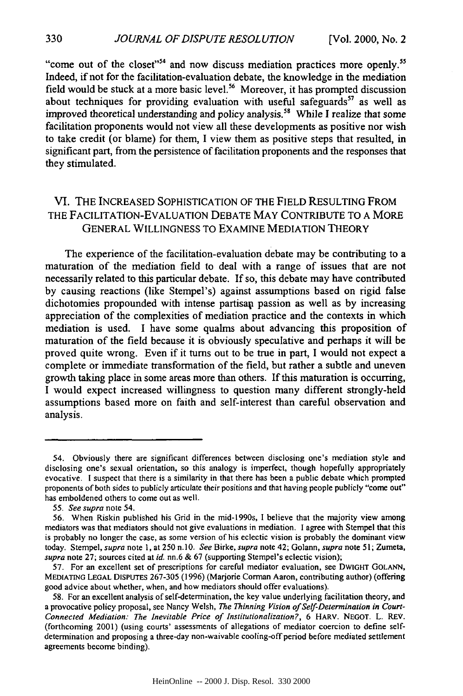"come out of the closet"<sup>54</sup> and now discuss mediation practices more openly.<sup>55</sup> Indeed, if not for the facilitation-evaluation debate, the knowledge in the mediation field would be stuck at a more basic level.<sup>56</sup> Moreover, it has prompted discussion about techniques for providing evaluation with useful safeguards<sup>57</sup> as well as improved theoretical understanding and policy analysis.<sup>58</sup> While I realize that some facilitation proponents would not view all these developments as positive nor wish to take credit (or blame) for them, I view them as positive steps that resulted, in significant part, from the persistence of facilitation proponents and the responses that they stimulated.

#### VI. THE INCREASED SOPHISTICATION OF THE FIELD RESULTING FROM THE FACILITATION-EVALUATION DEBATE MAY CONTRIBUTE TO A MORE GENERAL WILLINGNESS TO EXAMINE MEDIATION THEORY

The experience of the facilitation-evaluation debate may be contributing to a maturation of the mediation field to deal with a range of issues that are not necessarily related to this particular debate. If so, this debate may have contributed by causing reactions (like Stempel's) against assumptions based on rigid false dichotomies propounded with intense partisan passion as well as by increasing appreciation of the complexities of mediation practice and the contexts in which mediation is used. I have some qualms about advancing this proposition of maturation of the field because it is obviously speculative and perhaps it will be proved quite wrong. Even if it turns out to be true in part, I would not expect a complete or immediate transformation of the field, but rather a subtle and uneven growth taking place in some areas more than others. If this maturation is occurring, I would expect increased willingness to question many different strongly-held assumptions based more on faith and self-interest than careful observation and analysis.

330

<sup>54.</sup> Obviously there are significant differences between disclosing one's mediation style and disclosing one's sexual orientation, so this analogy is imperfect, though hopefully appropriately evocative. I suspect that there is a similarity in that there has been a public debate which prompted proponents of both sides to publicly articulate their positions and that having people publicly "come out" has emboldened others to come out as well.

*<sup>55.</sup> See supra* note 54.

<sup>56.</sup> When Riskin published his Grid in the mid-1990s, I believe that the majority view among mediators was that mediators should not give evaluations in mediation. I agree with Stempel that this is probably no longer the case, as some version of his eclectic vision is probably the dominant view today. Stempel, *supra* note **1,** at 250 n.10. *See* Birke, *supra* note 42; Golann, *supra* note 51; Zumeta, *supra* note 27; sources cited at *id.* nn.6 & 67 (supporting Stempel's eclectic vision);

<sup>57.</sup> For an excellent set of prescriptions for careful mediator evaluation, see DWIGHT GOLANN, MEDIATING **LEGAL** DIsPUTES 267-305 (1996) (Marjorie Corman Aaron, contributing author) (offering good advice about whether, when, and how mediators should offer evaluations).

<sup>58.</sup> For an excellent analysis of self-determination, the key value underlying facilitation theory, and a provocative policy proposal, see Nancy Welsh, *The Thinning Vision of Self-Determination in Court-Connected Mediation: The Inevitable Price of Institutionalization?,* 6 HARV. NEGOT. L. REV. (forthcoming 2001) (using courts' assessments of allegations of mediator coercion to define selfdetermination and proposing a three-day non-waivable cooling-off period before mediated settlement agreements become binding).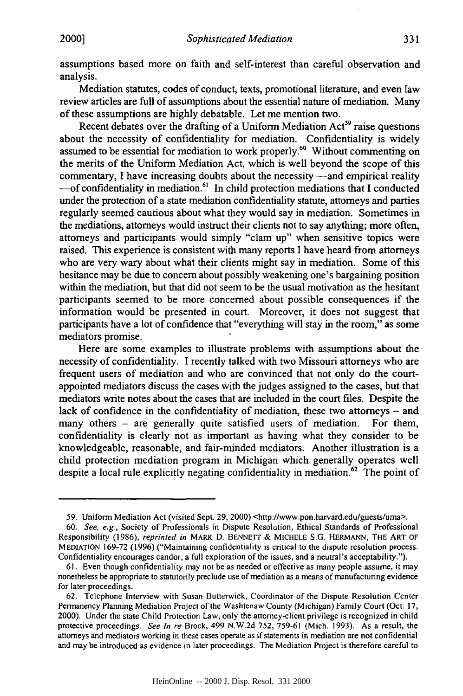assumptions based more on faith and self-interest than careful observation and analysis.

Mediation statutes, codes of conduct, texts, promotional literature, and even law review articles are full of assumptions about the essential nature of mediation. Many of these assumptions are highly debatable. Let me mention two.

Recent debates over the drafting of a Uniform Mediation  $Act<sup>59</sup>$  raise questions about the necessity of confidentiality for mediation. Confidentiality is widely assumed to be essential for mediation to work properly.<sup>60</sup> Without commenting on the merits of the Uniform Mediation Act, which is well beyond the scope of this commentary, I have increasing doubts about the necessity  $-\text{and}$  empirical reality -of confidentiality in mediation.<sup>61</sup> In child protection mediations that I conducted under the protection of a state mediation confidentiality statute, attorneys and parties regularly seemed cautious about what they would say in mediation. Sometimes in the mediations, attorneys would instruct their clients not to say anything; more often, attorneys and participants would simply "clam up" when sensitive topics were raised. This experience is consistent with many reports I have heard from attorneys who are very wary about what their clients might say in mediation. Some of this hesitance may be due to concern about possibly weakening one's bargaining position within the mediation, but that did not seem to be the usual motivation as the hesitant participants seemed to be more concerned about possible consequences if the information would be presented in court. Moreover, it does not suggest that participants have a lot of confidence that "everything will stay in the room," as some mediators promise.

Here are some examples to illustrate problems with assumptions about the necessity of confidentiality. I recently talked with two Missouri attorneys who are frequent users of mediation and who are convinced that not only do the courtappointed mediators discuss the cases with the judges assigned to the cases, but that mediators write notes about the cases that are included in the court files. Despite the lack of confidence in the confidentiality of mediation, these two attorneys  $-$  and many others – are generally quite satisfied users of mediation. For them, confidentiality is clearly not as important as having what they consider to be knowledgeable, reasonable, and fair-minded mediators. Another illustration is a child protection mediation program in Michigan which generally operates well despite a local rule explicitly negating confidentiality in mediation.<sup>62</sup> The point of

<sup>59.</sup> Uniform Mediation Act (visited Sept. 29, 2000) <http://www.pon.harvard.edu/guests/uma>.

<sup>60.</sup> *See, e.g.,* Society of Professionals in Dispute Resolution, Ethical Standards of Professional Responsibility (1986), *reprinted in* MARK D. **BENNETT** & **MICHELE** S.G. HERMANN, THE ART OF **MEDIATION** 169-72 (1996) ("Maintaining confidentiality is critical to the dispute resolution process. Confidentiality encourages candor, a full exploration of the issues, and a neutral's acceptability.").

<sup>61.</sup> Even though confidentiality may not be as needed or effective as many people assume, it may nonetheless be appropriate to statutorily preclude use of mediation as a means of manufacturing evidence for later proceedings.

<sup>62.</sup> Telephone Interview with Susan Butterwick, Coordinator of the Dispute Resolution Center Permanency Planning Mediation Project of the Washtenaw County (Michigan) Family Court (Oct. 17, 2000). Under the state Child Protection Law, only the attomey-client privilege is recognized in child protective proceedings. *See In re* Brock, 499 N.W.2d 752, 759-61 (Mich. 1993). As a result, the attorneys and mediators working in these cases operate as if statements in mediation are not confidential and may be introduced as evidence in later proceedings. The Mediation Project is therefore careful to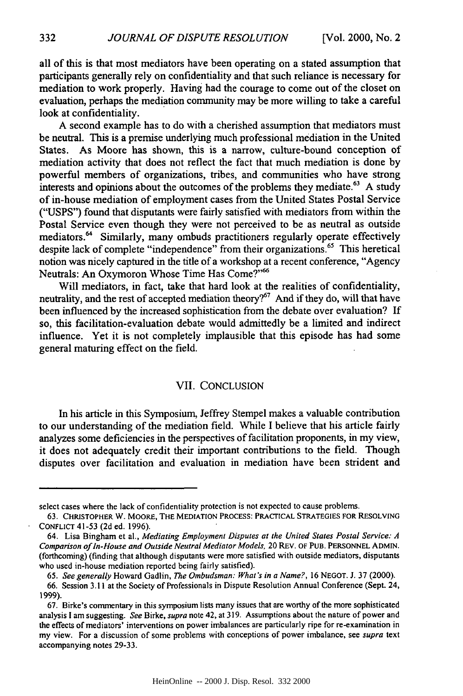all of this is that most mediators have been operating on a stated assumption that participants generally rely on confidentiality and that such reliance is necessary for mediation to work properly. Having had the courage to come out of the closet on evaluation, perhaps the mediation community may be more willing to take a careful look at confidentiality.

A second example has to do with a cherished assumption that mediators must be neutral. This is a premise underlying much professional mediation in the United States. As Moore has shown, this is a narrow, culture-bound conception of mediation activity that does not reflect the fact that much mediation is done by powerful members of organizations, tribes, and communities who have strong interests and opinions about the outcomes of the problems they mediate.<sup>63</sup> A study of in-house mediation of employment cases from the United States Postal Service ("USPS") found that disputants were fairly satisfied with mediators from within the Postal Service even though they were not perceived to be as neutral as outside mediators.<sup>64</sup> Similarly, many ombuds practitioners regularly operate effectively despite lack of complete "independence" from their organizations.<sup>65</sup> This heretical notion was nicely captured in the title of a workshop at a recent conference, "Agency Neutrals: An Oxymoron Whose Time Has Come?"'

Will mediators, in fact, take that hard look at the realities of confidentiality, neutrality, and the rest of accepted mediation theory?<sup>67</sup> And if they do, will that have been influenced by the increased sophistication from the debate over evaluation? If so, this facilitation-evaluation debate would admittedly be a limited and indirect influence. Yet it is not completely implausible that this episode has had some general maturing effect on the field.

#### VII. CONCLUSION

In his article in this Symposium, Jeffrey Stempel makes a valuable contribution to our understanding of the mediation field. While I believe that his article fairly analyzes some deficiencies in the perspectives of facilitation proponents, in my view, it does not adequately credit their important contributions to the field. Though disputes over facilitation and evaluation in mediation have been strident and

select cases where the lack of confidentiality protection is not expected to cause problems.

<sup>63.</sup> CHRISTOPHER W. MOORE, THE MEDIATION PROCESS: PRACTICAL STRATEGIES FOR RESOLVING CONFLICT 41-53 (2d ed. 1996).

<sup>64.</sup> Lisa Bingham et al., *Mediating Employment Disputes at the United States Postal Service: A Comparison of In-House and Outside Neutral Mediator Models,* 20 REv. OF **PUB.** PERSONNEL ADMIN. (forthcoming) (finding that although disputants were more satisfied with outside mediators, disputants who used in-house mediation reported being fairly satisfied).

<sup>65.</sup> *See generally* Howard Gadlin, *The Ombudsman: What's in a Name?,* 16 NEGOT. J. 37 (2000).

<sup>66.</sup> Session 3.11 at the Society of Professionals in Dispute Resolution Annual Conference (Sept. 24, 1999).

<sup>67.</sup> Birke's commentary in this symposium lists many issues that are worthy of the more sophisticated analysis **I** am suggesting. *See* Birke, *supra* note 42, at 319. Assumptions about the nature of power and the effects of mediators' interventions on power imbalances are particularly ripe for re-examination in my view. For a discussion of some problems with conceptions of power imbalance, see *supra* text accompanying notes 29-33.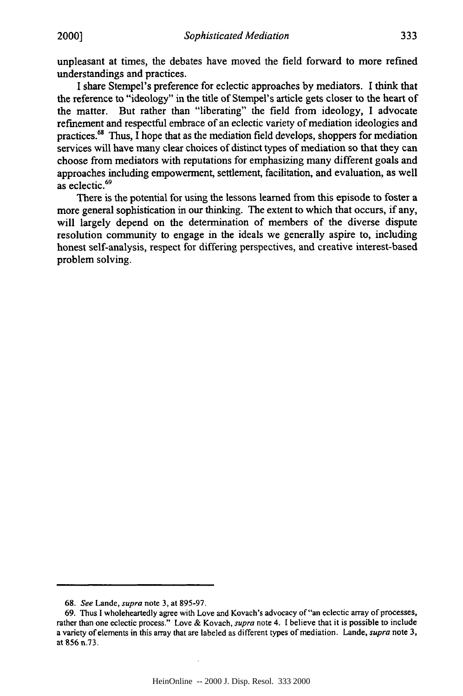unpleasant at times, the debates have moved the field forward to more refined understandings and practices.

**I** share Stempel's preference for eclectic approaches **by** mediators. **I** think that the reference to "ideology" in the title of Stempel's article gets closer to the heart of the matter. But rather than "liberating" the field from ideology, I advocate refinement and respectful embrace of an eclectic variety of mediation ideologies and practices.68 Thus, **I** hope that as the mediation field develops, shoppers for mediation services will have many clear choices of distinct types of mediation so that they can choose from mediators with reputations for emphasizing many different goals and approaches including empowerment, settlement, facilitation, and evaluation, as well as eclectic.<sup>69</sup>

There is the potential for using the lessons learned from this episode to foster a more general sophistication in our thinking. The extent to which that occurs, if any, will largely depend on the determination of members of the diverse dispute resolution community to engage in the ideals we generally aspire to, including honest self-analysis, respect for differing perspectives, and creative interest-based problem solving.

<sup>68.</sup> *See* Lande, *supra* note 3, at 895-97.

<sup>69.</sup> Thus I wholeheartedly agree with Love and Kovach's advocacy of"an eclectic array of processes, rather than one eclectic process." Love & Kovach, *supra* note 4. **1** believe that it is possible to include a variety of elements in this array that are labeled as different types of mediation. Lande, *supra* note 3, at **856** n.73.